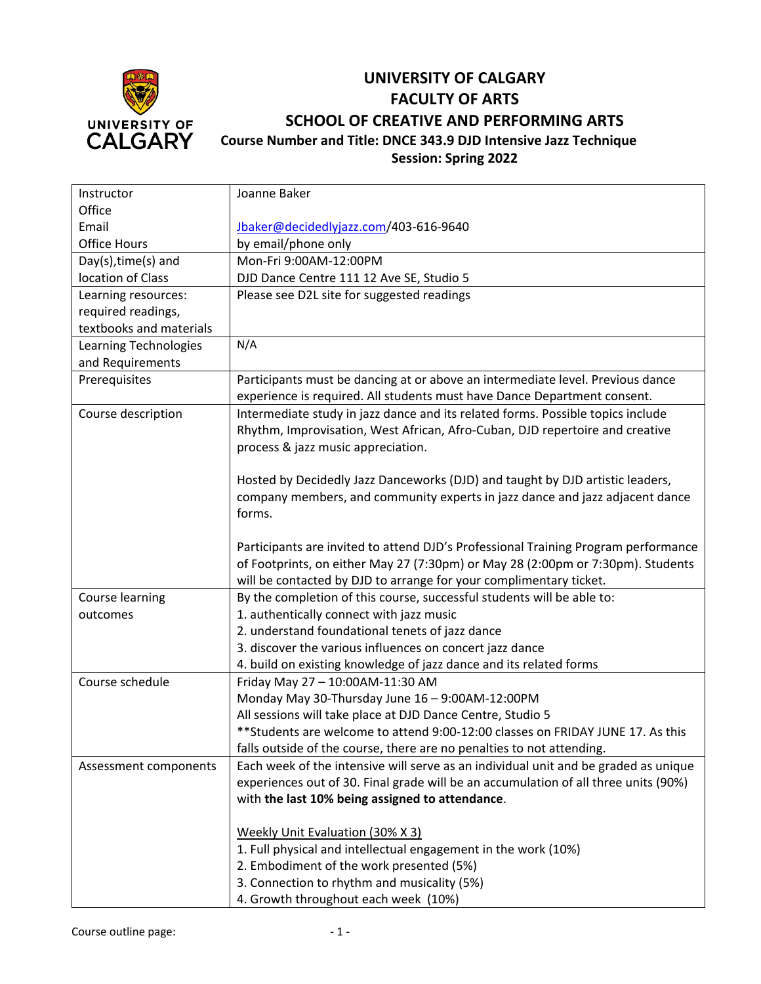

## **UNIVERSITY OF CALGARY FACULTY OF ARTS SCHOOL OF CREATIVE AND PERFORMING ARTS Course Number and Title: DNCE 343.9 DJD Intensive Jazz Technique Session: Spring 2022**

| Instructor                   | Joanne Baker                                                                                               |
|------------------------------|------------------------------------------------------------------------------------------------------------|
| Office                       |                                                                                                            |
| Email                        | Jbaker@decidedlyjazz.com/403-616-9640                                                                      |
| <b>Office Hours</b>          | by email/phone only                                                                                        |
| Day(s), time(s) and          | Mon-Fri 9:00AM-12:00PM                                                                                     |
| location of Class            | DJD Dance Centre 111 12 Ave SE, Studio 5                                                                   |
| Learning resources:          | Please see D2L site for suggested readings                                                                 |
| required readings,           |                                                                                                            |
| textbooks and materials      |                                                                                                            |
| <b>Learning Technologies</b> | N/A                                                                                                        |
| and Requirements             |                                                                                                            |
| Prerequisites                | Participants must be dancing at or above an intermediate level. Previous dance                             |
|                              | experience is required. All students must have Dance Department consent.                                   |
| Course description           | Intermediate study in jazz dance and its related forms. Possible topics include                            |
|                              | Rhythm, Improvisation, West African, Afro-Cuban, DJD repertoire and creative                               |
|                              | process & jazz music appreciation.                                                                         |
|                              |                                                                                                            |
|                              | Hosted by Decidedly Jazz Danceworks (DJD) and taught by DJD artistic leaders,                              |
|                              | company members, and community experts in jazz dance and jazz adjacent dance                               |
|                              | forms.                                                                                                     |
|                              |                                                                                                            |
|                              | Participants are invited to attend DJD's Professional Training Program performance                         |
|                              | of Footprints, on either May 27 (7:30pm) or May 28 (2:00pm or 7:30pm). Students                            |
|                              | will be contacted by DJD to arrange for your complimentary ticket.                                         |
| Course learning              | By the completion of this course, successful students will be able to:                                     |
| outcomes                     | 1. authentically connect with jazz music                                                                   |
|                              | 2. understand foundational tenets of jazz dance                                                            |
|                              | 3. discover the various influences on concert jazz dance                                                   |
|                              | 4. build on existing knowledge of jazz dance and its related forms                                         |
| Course schedule              | Friday May 27-10:00AM-11:30 AM                                                                             |
|                              | Monday May 30-Thursday June 16 - 9:00AM-12:00PM                                                            |
|                              | All sessions will take place at DJD Dance Centre, Studio 5                                                 |
|                              | ** Students are welcome to attend 9:00-12:00 classes on FRIDAY JUNE 17. As this                            |
|                              | falls outside of the course, there are no penalties to not attending.                                      |
| Assessment components        | Each week of the intensive will serve as an individual unit and be graded as unique                        |
|                              | experiences out of 30. Final grade will be an accumulation of all three units (90%)                        |
|                              | with the last 10% being assigned to attendance.                                                            |
|                              |                                                                                                            |
|                              | Weekly Unit Evaluation (30% X 3)                                                                           |
|                              | 1. Full physical and intellectual engagement in the work (10%)<br>2. Embodiment of the work presented (5%) |
|                              | 3. Connection to rhythm and musicality (5%)                                                                |
|                              |                                                                                                            |
|                              | 4. Growth throughout each week (10%)                                                                       |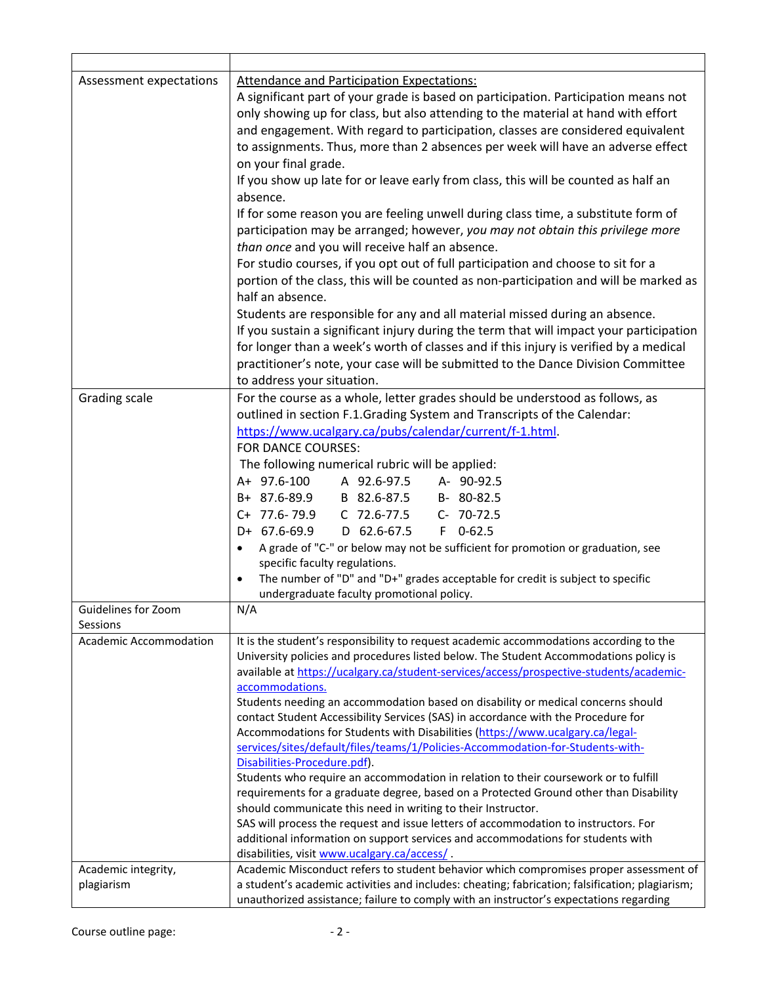| Assessment expectations | <b>Attendance and Participation Expectations:</b>                                                                                                                                |
|-------------------------|----------------------------------------------------------------------------------------------------------------------------------------------------------------------------------|
|                         | A significant part of your grade is based on participation. Participation means not                                                                                              |
|                         | only showing up for class, but also attending to the material at hand with effort                                                                                                |
|                         | and engagement. With regard to participation, classes are considered equivalent                                                                                                  |
|                         | to assignments. Thus, more than 2 absences per week will have an adverse effect                                                                                                  |
|                         | on your final grade.                                                                                                                                                             |
|                         | If you show up late for or leave early from class, this will be counted as half an                                                                                               |
|                         | absence.                                                                                                                                                                         |
|                         | If for some reason you are feeling unwell during class time, a substitute form of                                                                                                |
|                         | participation may be arranged; however, you may not obtain this privilege more                                                                                                   |
|                         | than once and you will receive half an absence.                                                                                                                                  |
|                         | For studio courses, if you opt out of full participation and choose to sit for a                                                                                                 |
|                         | portion of the class, this will be counted as non-participation and will be marked as                                                                                            |
|                         | half an absence.                                                                                                                                                                 |
|                         | Students are responsible for any and all material missed during an absence.                                                                                                      |
|                         | If you sustain a significant injury during the term that will impact your participation                                                                                          |
|                         | for longer than a week's worth of classes and if this injury is verified by a medical                                                                                            |
|                         |                                                                                                                                                                                  |
|                         | practitioner's note, your case will be submitted to the Dance Division Committee                                                                                                 |
|                         | to address your situation.                                                                                                                                                       |
| Grading scale           | For the course as a whole, letter grades should be understood as follows, as                                                                                                     |
|                         | outlined in section F.1.Grading System and Transcripts of the Calendar:                                                                                                          |
|                         | https://www.ucalgary.ca/pubs/calendar/current/f-1.html.                                                                                                                          |
|                         | FOR DANCE COURSES:                                                                                                                                                               |
|                         | The following numerical rubric will be applied:                                                                                                                                  |
|                         | A+ 97.6-100 A 92.6-97.5 A- 90-92.5                                                                                                                                               |
|                         | B+ 87.6-89.9 B 82.6-87.5 B- 80-82.5                                                                                                                                              |
|                         | C+ 77.6-79.9 C 72.6-77.5<br>C- 70-72.5                                                                                                                                           |
|                         | D+ 67.6-69.9 D 62.6-67.5<br>$F$ 0-62.5                                                                                                                                           |
|                         | A grade of "C-" or below may not be sufficient for promotion or graduation, see                                                                                                  |
|                         | specific faculty regulations.                                                                                                                                                    |
|                         | The number of "D" and "D+" grades acceptable for credit is subject to specific<br>$\bullet$                                                                                      |
|                         | undergraduate faculty promotional policy.                                                                                                                                        |
| Guidelines for Zoom     | N/A                                                                                                                                                                              |
| Sessions                |                                                                                                                                                                                  |
| Academic Accommodation  | It is the student's responsibility to request academic accommodations according to the                                                                                           |
|                         | University policies and procedures listed below. The Student Accommodations policy is<br>available at https://ucalgary.ca/student-services/access/prospective-students/academic- |
|                         | accommodations.                                                                                                                                                                  |
|                         | Students needing an accommodation based on disability or medical concerns should                                                                                                 |
|                         | contact Student Accessibility Services (SAS) in accordance with the Procedure for                                                                                                |
|                         | Accommodations for Students with Disabilities (https://www.ucalgary.ca/legal-                                                                                                    |
|                         | services/sites/default/files/teams/1/Policies-Accommodation-for-Students-with-                                                                                                   |
|                         | Disabilities-Procedure.pdf).                                                                                                                                                     |
|                         | Students who require an accommodation in relation to their coursework or to fulfill                                                                                              |
|                         | requirements for a graduate degree, based on a Protected Ground other than Disability                                                                                            |
|                         | should communicate this need in writing to their Instructor.                                                                                                                     |
|                         | SAS will process the request and issue letters of accommodation to instructors. For                                                                                              |
|                         | additional information on support services and accommodations for students with                                                                                                  |
|                         | disabilities, visit www.ucalgary.ca/access/.                                                                                                                                     |
| Academic integrity,     | Academic Misconduct refers to student behavior which compromises proper assessment of                                                                                            |
| plagiarism              | a student's academic activities and includes: cheating; fabrication; falsification; plagiarism;                                                                                  |
|                         | unauthorized assistance; failure to comply with an instructor's expectations regarding                                                                                           |